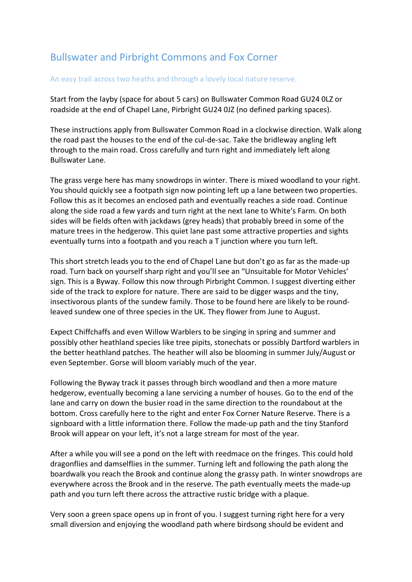## Bullswater and Pirbright Commons and Fox Corner

## An easy trail across two heaths and through a lovely local nature reserve.

Start from the layby (space for about 5 cars) on Bullswater Common Road GU24 0LZ or roadside at the end of Chapel Lane, Pirbright GU24 0JZ (no defined parking spaces).

These instructions apply from Bullswater Common Road in a clockwise direction. Walk along the road past the houses to the end of the cul-de-sac. Take the bridleway angling left through to the main road. Cross carefully and turn right and immediately left along Bullswater Lane.

The grass verge here has many snowdrops in winter. There is mixed woodland to your right. You should quickly see a footpath sign now pointing left up a lane between two properties. Follow this as it becomes an enclosed path and eventually reaches a side road. Continue along the side road a few yards and turn right at the next lane to White's Farm. On both sides will be fields often with jackdaws (grey heads) that probably breed in some of the mature trees in the hedgerow. This quiet lane past some attractive properties and sights eventually turns into a footpath and you reach a T junction where you turn left.

This short stretch leads you to the end of Chapel Lane but don't go as far as the made-up road. Turn back on yourself sharp right and you'll see an "Unsuitable for Motor Vehicles' sign. This is a Byway. Follow this now through Pirbright Common. I suggest diverting either side of the track to explore for nature. There are said to be digger wasps and the tiny, insectivorous plants of the sundew family. Those to be found here are likely to be roundleaved sundew one of three species in the UK. They flower from June to August.

Expect Chiffchaffs and even Willow Warblers to be singing in spring and summer and possibly other heathland species like tree pipits, stonechats or possibly Dartford warblers in the better heathland patches. The heather will also be blooming in summer July/August or even September. Gorse will bloom variably much of the year.

Following the Byway track it passes through birch woodland and then a more mature hedgerow, eventually becoming a lane servicing a number of houses. Go to the end of the lane and carry on down the busier road in the same direction to the roundabout at the bottom. Cross carefully here to the right and enter Fox Corner Nature Reserve. There is a signboard with a little information there. Follow the made-up path and the tiny Stanford Brook will appear on your left, it's not a large stream for most of the year.

After a while you will see a pond on the left with reedmace on the fringes. This could hold dragonflies and damselflies in the summer. Turning left and following the path along the boardwalk you reach the Brook and continue along the grassy path. In winter snowdrops are everywhere across the Brook and in the reserve. The path eventually meets the made-up path and you turn left there across the attractive rustic bridge with a plaque.

Very soon a green space opens up in front of you. I suggest turning right here for a very small diversion and enjoying the woodland path where birdsong should be evident and